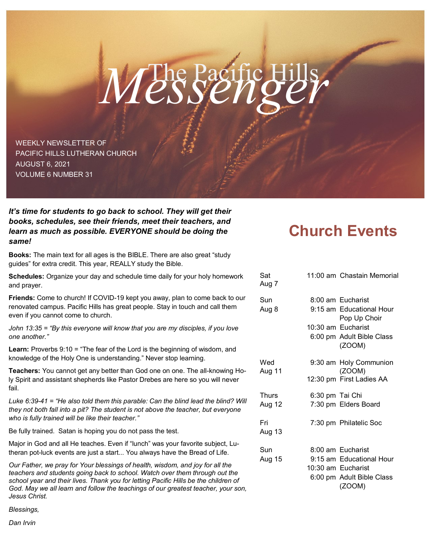# The Pacific Hills *Messenger*

WEEKLY NEWSLETTER OF PACIFIC HILLS LUTHERAN CHURCH AUGUST 6, 2021 VOLUME 6 NUMBER 31

*It's time for students to go back to school. They will get their books, schedules, see their friends, meet their teachers, and learn as much as possible. EVERYONE should be doing the same!*

**Books:** The main text for all ages is the BIBLE. There are also great "study guides" for extra credit. This year, REALLY study the Bible.

**Schedules:** Organize your day and schedule time daily for your holy homework and prayer.

**Friends:** Come to church! If COVID-19 kept you away, plan to come back to our renovated campus. Pacific Hills has great people. Stay in touch and call them even if you cannot come to church.

*John 13:35 = "By this everyone will know that you are my disciples, if you love one another."*

**Learn:** Proverbs 9:10 = "The fear of the Lord is the beginning of wisdom, and knowledge of the Holy One is understanding." Never stop learning.

**Teachers:** You cannot get any better than God one on one. The all-knowing Holy Spirit and assistant shepherds like Pastor Drebes are here so you will never fail.

*Luke 6:39-41 = "He also told them this parable: Can the blind lead the blind? Will they not both fall into a pit? The student is not above the teacher, but everyone who is fully trained will be like their teacher."*

Be fully trained. Satan is hoping you do not pass the test.

Major in God and all He teaches. Even if "lunch" was your favorite subject, Lutheran pot-luck events are just a start... You always have the Bread of Life.

*Our Father, we pray for Your blessings of health, wisdom, and joy for all the teachers and students going back to school. Watch over them through out the school year and their lives. Thank you for letting Pacific Hills be the children of God. May we all learn and follow the teachings of our greatest teacher, your son, Jesus Christ.*

*Blessings,*

*Dan Irvin*

# **Church Events**

| Sat<br>Aug 7  |                 | 11:00 am Chastain Memorial               |
|---------------|-----------------|------------------------------------------|
| Sun           |                 | 8:00 am Eucharist                        |
| Aug 8         |                 | 9:15 am Educational Hour<br>Pop Up Choir |
|               |                 | 10:30 am Eucharist                       |
|               |                 | 6:00 pm Adult Bible Class<br>(ZOOM)      |
| Wed<br>Aug 11 |                 | 9:30 am Holy Communion<br>(ZOOM)         |
|               |                 | 12:30 pm First Ladies AA                 |
| <b>Thurs</b>  | 6:30 pm Tai Chi |                                          |
| Aug 12        |                 | 7:30 pm Elders Board                     |
| Fri<br>Aug 13 |                 | 7:30 pm Philatelic Soc                   |
| Sun           |                 | 8:00 am Eucharist                        |
| Aug 15        |                 | 9:15 am Educational Hour                 |
|               |                 | 10:30 am Eucharist                       |
|               |                 | 6:00 pm Adult Bible Class<br>(ZOOM)      |